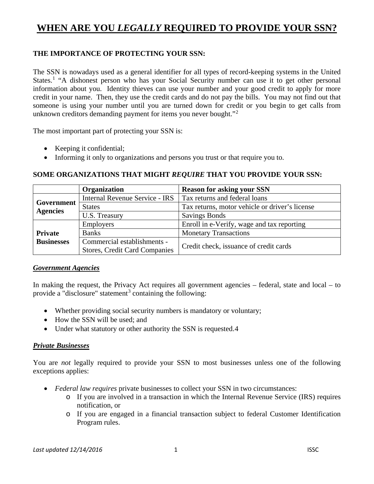# **WHEN ARE YOU** *LEGALLY* **REQUIRED TO PROVIDE YOUR SSN?**

### **THE IMPORTANCE OF PROTECTING YOUR SSN:**

The SSN is nowadays used as a general identifier for all types of record-keeping systems in the United States.<sup>[1](#page-1-0)</sup> "A dishonest person who has your Social Security number can use it to get other personal information about you. Identity thieves can use your number and your good credit to apply for more credit in your name. Then, they use the credit cards and do not pay the bills. You may not find out that someone is using your number until you are turned down for credit or you begin to get calls from unknown creditors demanding payment for items you never bought."<sup>[2](#page-1-1)</sup>

The most important part of protecting your SSN is:

- Keeping it confidential;
- Informing it only to organizations and persons you trust or that require you to.

#### **SOME ORGANIZATIONS THAT MIGHT** *REQUIRE* **THAT YOU PROVIDE YOUR SSN:**

|                                     | <b>Organization</b>                  | <b>Reason for asking your SSN</b>              |
|-------------------------------------|--------------------------------------|------------------------------------------------|
| Government<br><b>Agencies</b>       | Internal Revenue Service - IRS       | Tax returns and federal loans                  |
|                                     | <b>States</b>                        | Tax returns, motor vehicle or driver's license |
|                                     | U.S. Treasury                        | <b>Savings Bonds</b>                           |
| <b>Private</b><br><b>Businesses</b> | <b>Employers</b>                     | Enroll in e-Verify, wage and tax reporting     |
|                                     | <b>Banks</b>                         | <b>Monetary Transactions</b>                   |
|                                     | Commercial establishments -          | Credit check, issuance of credit cards         |
|                                     | <b>Stores, Credit Card Companies</b> |                                                |

#### *Government Agencies*

In making the request, the Privacy Act requires all government agencies – federal, state and local – to provide a "disclosure" statement<sup>[3](#page-1-2)</sup> containing the following:

- Whether providing social security numbers is mandatory or voluntary;
- How the SSN will be used; and
- Under what statutory or other authority the SSN is requested.[4](#page-1-3)

#### *Private Businesses*

You are *not* legally required to provide your SSN to most businesses unless one of the following exceptions applies:

- *Federal law requires* private businesses to collect your SSN in two circumstances:
	- o If you are involved in a transaction in which the Internal Revenue Service (IRS) requires notification, or
	- o If you are engaged in a financial transaction subject to federal Customer Identification Program rules.